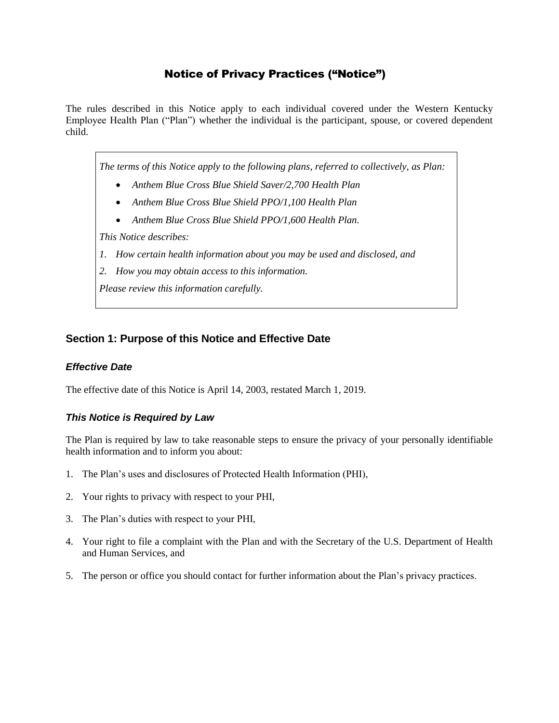# Notice of Privacy Practices ("Notice")

The rules described in this Notice apply to each individual covered under the Western Kentucky Employee Health Plan ("Plan") whether the individual is the participant, spouse, or covered dependent child.

*The terms of this Notice apply to the following plans, referred to collectively, as Plan:*

- *Anthem Blue Cross Blue Shield Saver/2,700 Health Plan*
- *Anthem Blue Cross Blue Shield PPO/1,100 Health Plan*
- *Anthem Blue Cross Blue Shield PPO/1,600 Health Plan.*

*This Notice describes:*

- *1. How certain health information about you may be used and disclosed, and*
- *2. How you may obtain access to this information.*

*Please review this information carefully.*

## **Section 1: Purpose of this Notice and Effective Date**

### *Effective Date*

The effective date of this Notice is April 14, 2003, restated March 1, 2019.

## *This Notice is Required by Law*

The Plan is required by law to take reasonable steps to ensure the privacy of your personally identifiable health information and to inform you about:

- 1. The Plan's uses and disclosures of Protected Health Information (PHI),
- 2. Your rights to privacy with respect to your PHI,
- 3. The Plan's duties with respect to your PHI,
- 4. Your right to file a complaint with the Plan and with the Secretary of the U.S. Department of Health and Human Services, and
- 5. The person or office you should contact for further information about the Plan's privacy practices.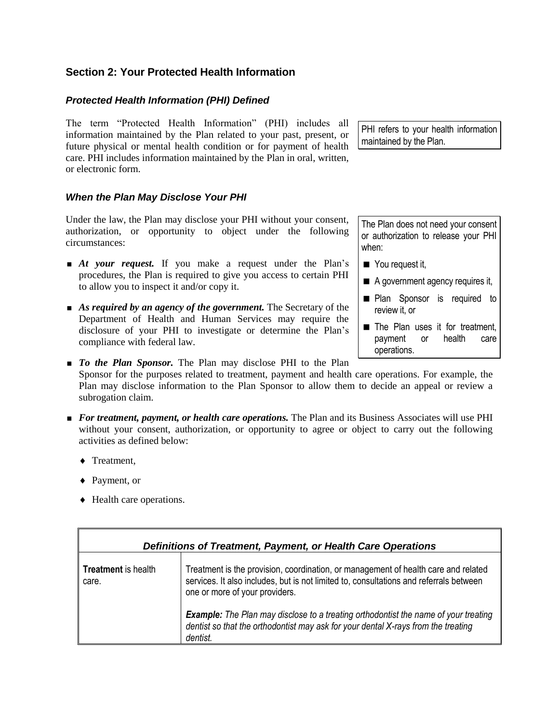## **Section 2: Your Protected Health Information**

## *Protected Health Information (PHI) Defined*

The term "Protected Health Information" (PHI) includes all information maintained by the Plan related to your past, present, or future physical or mental health condition or for payment of health care. PHI includes information maintained by the Plan in oral, written, or electronic form.

*When the Plan May Disclose Your PHI*

Under the law, the Plan may disclose your PHI without your consent, authorization, or opportunity to object under the following circumstances:

- **At your request.** If you make a request under the Plan's procedures, the Plan is required to give you access to certain PHI to allow you to inspect it and/or copy it.
- **As required by an agency of the government.** The Secretary of the Department of Health and Human Services may require the disclosure of your PHI to investigate or determine the Plan's compliance with federal law.

PHI refers to your health information maintained by the Plan.

The Plan does not need your consent or authorization to release your PHI when:

- You request it,
- A government agency requires it,
- **Plan Sponsor is required to** review it, or
- The Plan uses it for treatment, payment or health care operations.
- **To the Plan Sponsor.** The Plan may disclose PHI to the Plan Sponsor for the purposes related to treatment, payment and health care operations. For example, the Plan may disclose information to the Plan Sponsor to allow them to decide an appeal or review a subrogation claim.
- **For treatment, payment, or health care operations.** The Plan and its Business Associates will use PHI without your consent, authorization, or opportunity to agree or object to carry out the following activities as defined below:
	- ◆ Treatment,
	- ◆ Payment, or
	- Health care operations.

| Definitions of Treatment, Payment, or Health Care Operations |                                                                                                                                                                                                                |
|--------------------------------------------------------------|----------------------------------------------------------------------------------------------------------------------------------------------------------------------------------------------------------------|
| <b>Treatment</b> is health<br>care.                          | Treatment is the provision, coordination, or management of health care and related<br>services. It also includes, but is not limited to, consultations and referrals between<br>one or more of your providers. |
|                                                              | <b>Example:</b> The Plan may disclose to a treating orthodontist the name of your treating<br>dentist so that the orthodontist may ask for your dental X-rays from the treating<br>dentist.                    |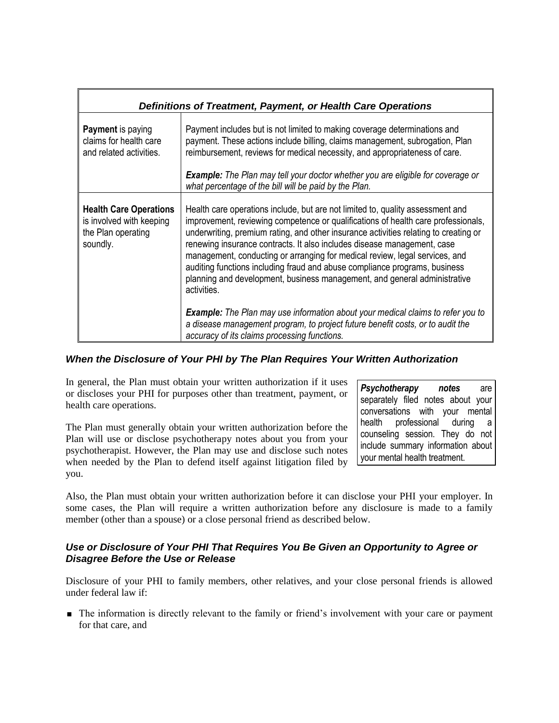| Definitions of Treatment, Payment, or Health Care Operations                                |                                                                                                                                                                                                                                                                                                                                                                                                                                                                                                                                                                                                                                                                                                                                                                             |
|---------------------------------------------------------------------------------------------|-----------------------------------------------------------------------------------------------------------------------------------------------------------------------------------------------------------------------------------------------------------------------------------------------------------------------------------------------------------------------------------------------------------------------------------------------------------------------------------------------------------------------------------------------------------------------------------------------------------------------------------------------------------------------------------------------------------------------------------------------------------------------------|
| <b>Payment</b> is paying<br>claims for health care<br>and related activities.               | Payment includes but is not limited to making coverage determinations and<br>payment. These actions include billing, claims management, subrogation, Plan<br>reimbursement, reviews for medical necessity, and appropriateness of care.<br><b>Example:</b> The Plan may tell your doctor whether you are eligible for coverage or<br>what percentage of the bill will be paid by the Plan.                                                                                                                                                                                                                                                                                                                                                                                  |
| <b>Health Care Operations</b><br>is involved with keeping<br>the Plan operating<br>soundly. | Health care operations include, but are not limited to, quality assessment and<br>improvement, reviewing competence or qualifications of health care professionals,<br>underwriting, premium rating, and other insurance activities relating to creating or<br>renewing insurance contracts. It also includes disease management, case<br>management, conducting or arranging for medical review, legal services, and<br>auditing functions including fraud and abuse compliance programs, business<br>planning and development, business management, and general administrative<br>activities.<br><b>Example:</b> The Plan may use information about your medical claims to refer you to<br>a disease management program, to project future benefit costs, or to audit the |

## *When the Disclosure of Your PHI by The Plan Requires Your Written Authorization*

In general, the Plan must obtain your written authorization if it uses or discloses your PHI for purposes other than treatment, payment, or health care operations.

The Plan must generally obtain your written authorization before the Plan will use or disclose psychotherapy notes about you from your psychotherapist. However, the Plan may use and disclose such notes when needed by the Plan to defend itself against litigation filed by you.

*Psychotherapy notes* are separately filed notes about your conversations with your mental health professional during a counseling session. They do not include summary information about your mental health treatment.

Also, the Plan must obtain your written authorization before it can disclose your PHI your employer. In some cases, the Plan will require a written authorization before any disclosure is made to a family member (other than a spouse) or a close personal friend as described below.

## *Use or Disclosure of Your PHI That Requires You Be Given an Opportunity to Agree or Disagree Before the Use or Release*

Disclosure of your PHI to family members, other relatives, and your close personal friends is allowed under federal law if:

**The information is directly relevant to the family or friend's involvement with your care or payment** for that care, and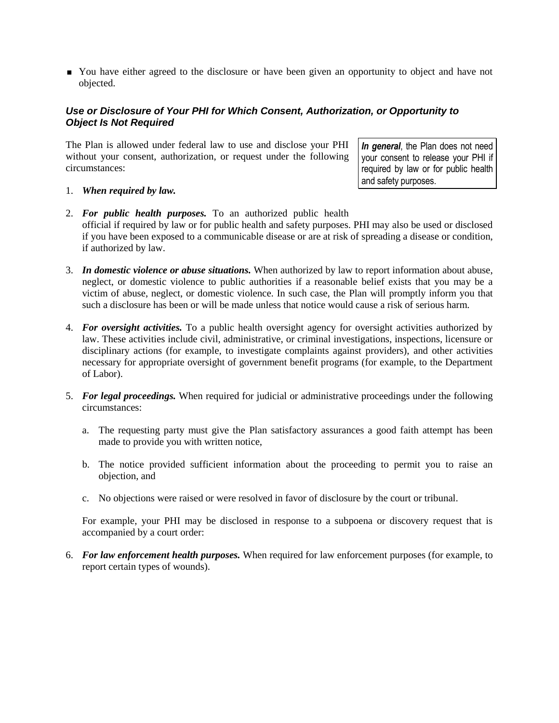• You have either agreed to the disclosure or have been given an opportunity to object and have not objected.

## *Use or Disclosure of Your PHI for Which Consent, Authorization, or Opportunity to Object Is Not Required*

The Plan is allowed under federal law to use and disclose your PHI without your consent, authorization, or request under the following circumstances:

*In general*, the Plan does not need your consent to release your PHI if required by law or for public health and safety purposes.

- 1. *When required by law.*
- 2. *For public health purposes.* To an authorized public health official if required by law or for public health and safety purposes. PHI may also be used or disclosed if you have been exposed to a communicable disease or are at risk of spreading a disease or condition, if authorized by law.
- 3. *In domestic violence or abuse situations.* When authorized by law to report information about abuse, neglect, or domestic violence to public authorities if a reasonable belief exists that you may be a victim of abuse, neglect, or domestic violence. In such case, the Plan will promptly inform you that such a disclosure has been or will be made unless that notice would cause a risk of serious harm.
- 4. *For oversight activities.* To a public health oversight agency for oversight activities authorized by law. These activities include civil, administrative, or criminal investigations, inspections, licensure or disciplinary actions (for example, to investigate complaints against providers), and other activities necessary for appropriate oversight of government benefit programs (for example, to the Department of Labor).
- 5. *For legal proceedings.* When required for judicial or administrative proceedings under the following circumstances:
	- a. The requesting party must give the Plan satisfactory assurances a good faith attempt has been made to provide you with written notice,
	- b. The notice provided sufficient information about the proceeding to permit you to raise an objection, and
	- c. No objections were raised or were resolved in favor of disclosure by the court or tribunal.

For example, your PHI may be disclosed in response to a subpoena or discovery request that is accompanied by a court order:

6. *For law enforcement health purposes.* When required for law enforcement purposes (for example, to report certain types of wounds).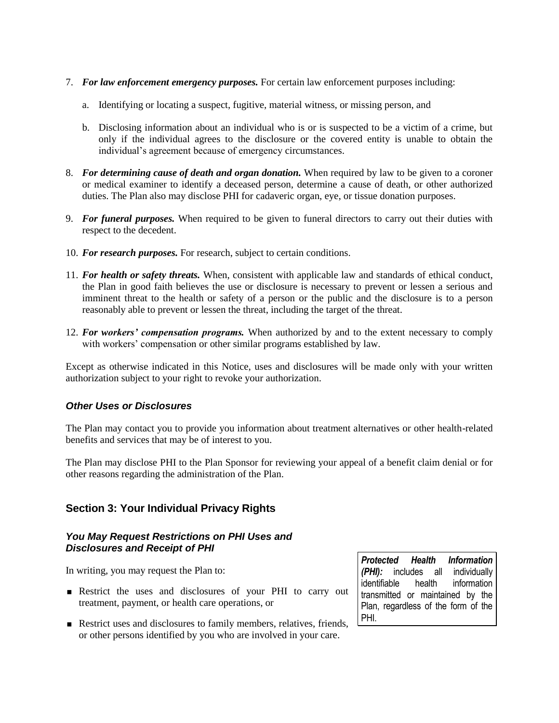- 7. *For law enforcement emergency purposes.* For certain law enforcement purposes including:
	- a. Identifying or locating a suspect, fugitive, material witness, or missing person, and
	- b. Disclosing information about an individual who is or is suspected to be a victim of a crime, but only if the individual agrees to the disclosure or the covered entity is unable to obtain the individual's agreement because of emergency circumstances.
- 8. *For determining cause of death and organ donation.* When required by law to be given to a coroner or medical examiner to identify a deceased person, determine a cause of death, or other authorized duties. The Plan also may disclose PHI for cadaveric organ, eye, or tissue donation purposes.
- 9. *For funeral purposes.* When required to be given to funeral directors to carry out their duties with respect to the decedent.
- 10. *For research purposes.* For research, subject to certain conditions.
- 11. *For health or safety threats.* When, consistent with applicable law and standards of ethical conduct, the Plan in good faith believes the use or disclosure is necessary to prevent or lessen a serious and imminent threat to the health or safety of a person or the public and the disclosure is to a person reasonably able to prevent or lessen the threat, including the target of the threat.
- 12. *For workers' compensation programs.* When authorized by and to the extent necessary to comply with workers' compensation or other similar programs established by law.

Except as otherwise indicated in this Notice, uses and disclosures will be made only with your written authorization subject to your right to revoke your authorization.

## *Other Uses or Disclosures*

The Plan may contact you to provide you information about treatment alternatives or other health-related benefits and services that may be of interest to you.

The Plan may disclose PHI to the Plan Sponsor for reviewing your appeal of a benefit claim denial or for other reasons regarding the administration of the Plan.

# **Section 3: Your Individual Privacy Rights**

#### *You May Request Restrictions on PHI Uses and Disclosures and Receipt of PHI*

In writing, you may request the Plan to:

- Restrict the uses and disclosures of your PHI to carry out treatment, payment, or health care operations, or
- Restrict uses and disclosures to family members, relatives, friends, or other persons identified by you who are involved in your care.

*Protected Health Information (PHI):* includes all individually identifiable health information transmitted or maintained by the Plan, regardless of the form of the PHI.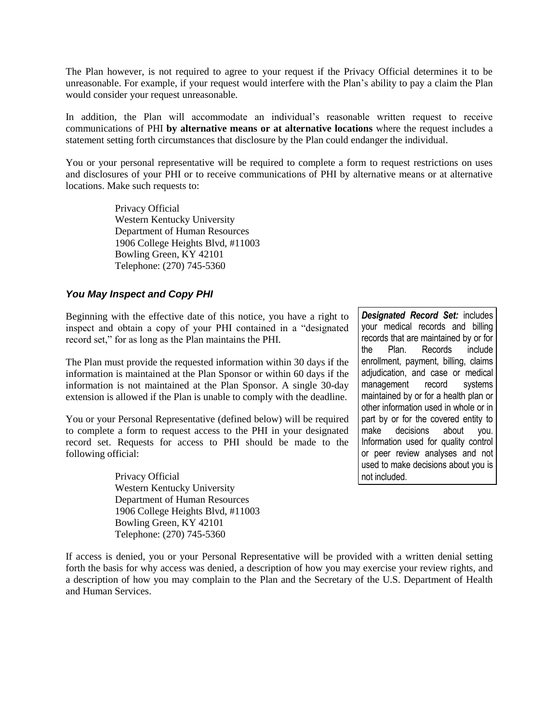The Plan however, is not required to agree to your request if the Privacy Official determines it to be unreasonable. For example, if your request would interfere with the Plan's ability to pay a claim the Plan would consider your request unreasonable*.* 

In addition, the Plan will accommodate an individual's reasonable written request to receive communications of PHI **by alternative means or at alternative locations** where the request includes a statement setting forth circumstances that disclosure by the Plan could endanger the individual.

You or your personal representative will be required to complete a form to request restrictions on uses and disclosures of your PHI or to receive communications of PHI by alternative means or at alternative locations. Make such requests to:

> Privacy Official Western Kentucky University Department of Human Resources 1906 College Heights Blvd, #11003 Bowling Green, KY 42101 Telephone: (270) 745-5360

#### *You May Inspect and Copy PHI*

Beginning with the effective date of this notice, you have a right to inspect and obtain a copy of your PHI contained in a "designated record set," for as long as the Plan maintains the PHI.

The Plan must provide the requested information within 30 days if the information is maintained at the Plan Sponsor or within 60 days if the information is not maintained at the Plan Sponsor. A single 30-day extension is allowed if the Plan is unable to comply with the deadline.

You or your Personal Representative (defined below) will be required to complete a form to request access to the PHI in your designated record set. Requests for access to PHI should be made to the following official:

> Privacy Official Western Kentucky University Department of Human Resources 1906 College Heights Blvd, #11003 Bowling Green, KY 42101 Telephone: (270) 745-5360

*Designated Record Set:* includes your medical records and billing records that are maintained by or for the Plan. Records include enrollment, payment, billing, claims adjudication, and case or medical management record systems maintained by or for a health plan or other information used in whole or in part by or for the covered entity to make decisions about you. Information used for quality control or peer review analyses and not used to make decisions about you is not included.

If access is denied, you or your Personal Representative will be provided with a written denial setting forth the basis for why access was denied, a description of how you may exercise your review rights, and a description of how you may complain to the Plan and the Secretary of the U.S. Department of Health and Human Services.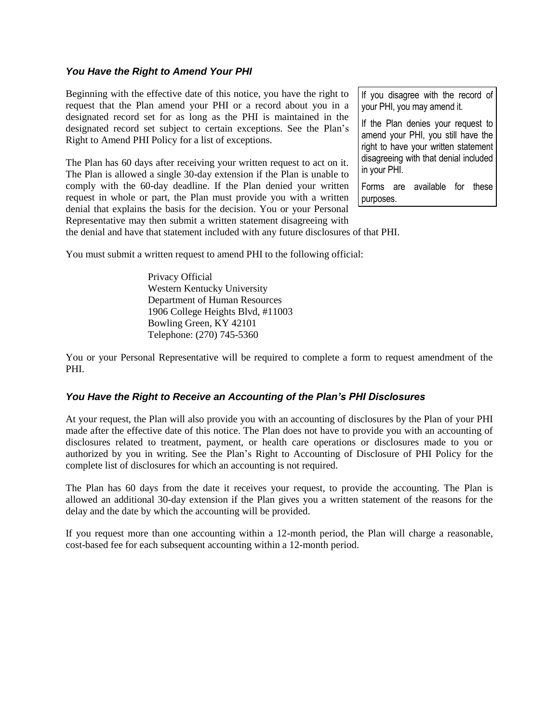#### *You Have the Right to Amend Your PHI*

Beginning with the effective date of this notice, you have the right to request that the Plan amend your PHI or a record about you in a designated record set for as long as the PHI is maintained in the designated record set subject to certain exceptions. See the Plan's Right to Amend PHI Policy for a list of exceptions.

The Plan has 60 days after receiving your written request to act on it. The Plan is allowed a single 30-day extension if the Plan is unable to comply with the 60-day deadline. If the Plan denied your written request in whole or part, the Plan must provide you with a written denial that explains the basis for the decision. You or your Personal Representative may then submit a written statement disagreeing with If you disagree with the record of your PHI, you may amend it.

If the Plan denies your request to amend your PHI, you still have the right to have your written statement disagreeing with that denial included in your PHI.

Forms are available for these purposes.

the denial and have that statement included with any future disclosures of that PHI.

You must submit a written request to amend PHI to the following official:

Privacy Official Western Kentucky University Department of Human Resources 1906 College Heights Blvd, #11003 Bowling Green, KY 42101 Telephone: (270) 745-5360

You or your Personal Representative will be required to complete a form to request amendment of the PHI.

#### *You Have the Right to Receive an Accounting of the Plan's PHI Disclosures*

At your request, the Plan will also provide you with an accounting of disclosures by the Plan of your PHI made after the effective date of this notice. The Plan does not have to provide you with an accounting of disclosures related to treatment, payment, or health care operations or disclosures made to you or authorized by you in writing. See the Plan's Right to Accounting of Disclosure of PHI Policy for the complete list of disclosures for which an accounting is not required.

The Plan has 60 days from the date it receives your request, to provide the accounting. The Plan is allowed an additional 30-day extension if the Plan gives you a written statement of the reasons for the delay and the date by which the accounting will be provided.

If you request more than one accounting within a 12-month period, the Plan will charge a reasonable, cost-based fee for each subsequent accounting within a 12-month period.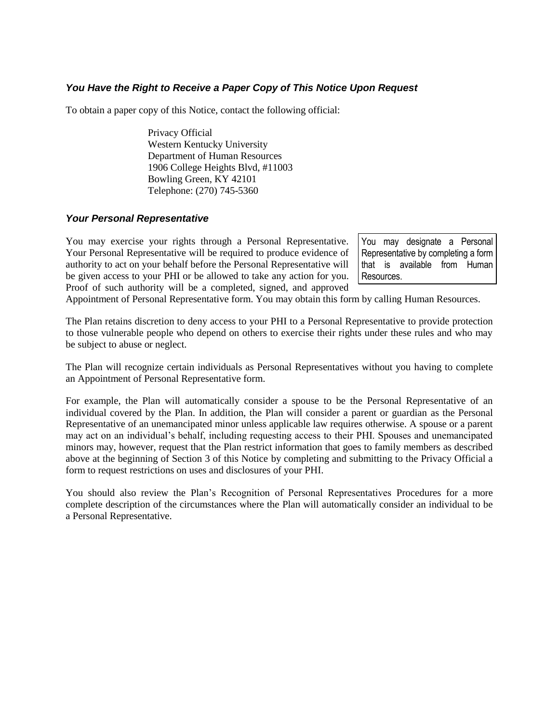## *You Have the Right to Receive a Paper Copy of This Notice Upon Request*

To obtain a paper copy of this Notice, contact the following official:

Privacy Official Western Kentucky University Department of Human Resources 1906 College Heights Blvd, #11003 Bowling Green, KY 42101 Telephone: (270) 745-5360

#### *Your Personal Representative*

You may exercise your rights through a Personal Representative. Your Personal Representative will be required to produce evidence of authority to act on your behalf before the Personal Representative will be given access to your PHI or be allowed to take any action for you. Proof of such authority will be a completed, signed, and approved

You may designate a Personal Representative by completing a form that is available from Human Resources.

Appointment of Personal Representative form. You may obtain this form by calling Human Resources.

The Plan retains discretion to deny access to your PHI to a Personal Representative to provide protection to those vulnerable people who depend on others to exercise their rights under these rules and who may be subject to abuse or neglect.

The Plan will recognize certain individuals as Personal Representatives without you having to complete an Appointment of Personal Representative form.

For example, the Plan will automatically consider a spouse to be the Personal Representative of an individual covered by the Plan. In addition, the Plan will consider a parent or guardian as the Personal Representative of an unemancipated minor unless applicable law requires otherwise. A spouse or a parent may act on an individual's behalf, including requesting access to their PHI. Spouses and unemancipated minors may, however, request that the Plan restrict information that goes to family members as described above at the beginning of Section 3 of this Notice by completing and submitting to the Privacy Official a form to request restrictions on uses and disclosures of your PHI.

You should also review the Plan's Recognition of Personal Representatives Procedures for a more complete description of the circumstances where the Plan will automatically consider an individual to be a Personal Representative.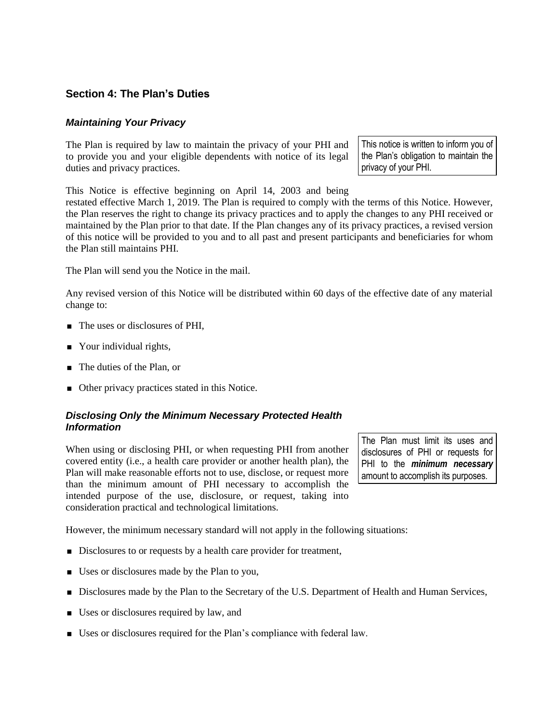# **Section 4: The Plan's Duties**

## *Maintaining Your Privacy*

The Plan is required by law to maintain the privacy of your PHI and to provide you and your eligible dependents with notice of its legal duties and privacy practices.

This notice is written to inform you of the Plan's obligation to maintain the privacy of your PHI.

This Notice is effective beginning on April 14, 2003 and being

restated effective March 1, 2019. The Plan is required to comply with the terms of this Notice. However, the Plan reserves the right to change its privacy practices and to apply the changes to any PHI received or maintained by the Plan prior to that date. If the Plan changes any of its privacy practices, a revised version of this notice will be provided to you and to all past and present participants and beneficiaries for whom the Plan still maintains PHI.

The Plan will send you the Notice in the mail.

Any revised version of this Notice will be distributed within 60 days of the effective date of any material change to:

- The uses or disclosures of PHI,
- Your individual rights,
- The duties of the Plan, or
- Other privacy practices stated in this Notice.

## *Disclosing Only the Minimum Necessary Protected Health Information*

When using or disclosing PHI, or when requesting PHI from another covered entity (i.e., a health care provider or another health plan), the Plan will make reasonable efforts not to use, disclose, or request more than the minimum amount of PHI necessary to accomplish the intended purpose of the use, disclosure, or request, taking into consideration practical and technological limitations.

The Plan must limit its uses and disclosures of PHI or requests for PHI to the *minimum necessary* amount to accomplish its purposes.

However, the minimum necessary standard will not apply in the following situations:

- Disclosures to or requests by a health care provider for treatment,
- Uses or disclosures made by the Plan to you,
- Disclosures made by the Plan to the Secretary of the U.S. Department of Health and Human Services,
- Uses or disclosures required by law, and
- Uses or disclosures required for the Plan's compliance with federal law.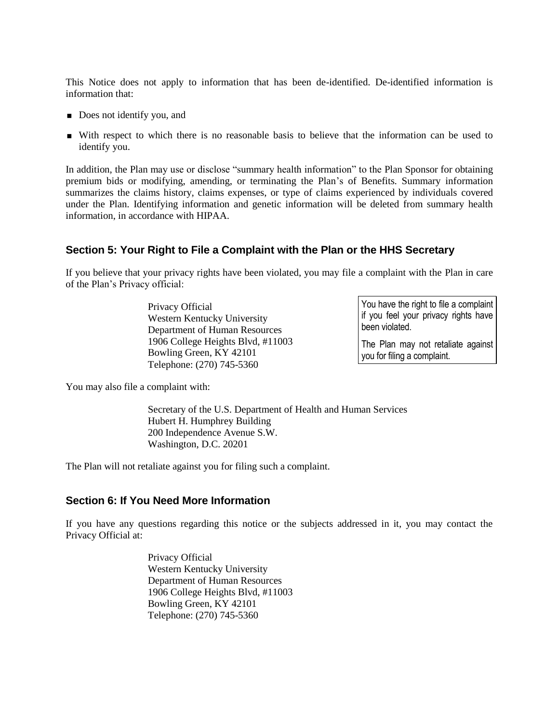This Notice does not apply to information that has been de-identified. De-identified information is information that:

- Does not identify you, and
- With respect to which there is no reasonable basis to believe that the information can be used to identify you.

In addition, the Plan may use or disclose "summary health information" to the Plan Sponsor for obtaining premium bids or modifying, amending, or terminating the Plan's of Benefits. Summary information summarizes the claims history, claims expenses, or type of claims experienced by individuals covered under the Plan. Identifying information and genetic information will be deleted from summary health information, in accordance with HIPAA.

## **Section 5: Your Right to File a Complaint with the Plan or the HHS Secretary**

If you believe that your privacy rights have been violated, you may file a complaint with the Plan in care of the Plan's Privacy official:

> Privacy Official Western Kentucky University Department of Human Resources 1906 College Heights Blvd, #11003 Bowling Green, KY 42101 Telephone: (270) 745-5360

You have the right to file a complaint if you feel your privacy rights have been violated.

The Plan may not retaliate against you for filing a complaint.

You may also file a complaint with:

Secretary of the U.S. Department of Health and Human Services Hubert H. Humphrey Building 200 Independence Avenue S.W. Washington, D.C. 20201

The Plan will not retaliate against you for filing such a complaint.

#### **Section 6: If You Need More Information**

If you have any questions regarding this notice or the subjects addressed in it, you may contact the Privacy Official at:

> Privacy Official Western Kentucky University Department of Human Resources 1906 College Heights Blvd, #11003 Bowling Green, KY 42101 Telephone: (270) 745-5360